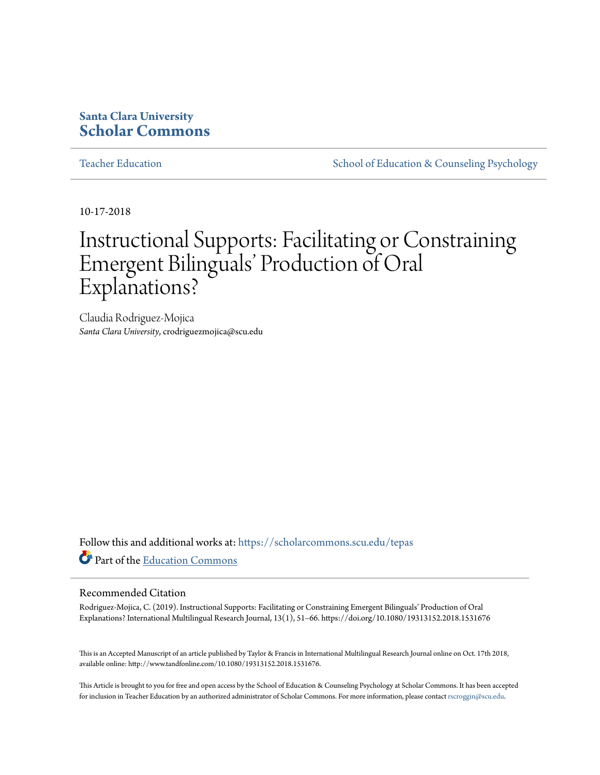# **Santa Clara University [Scholar Commons](https://scholarcommons.scu.edu?utm_source=scholarcommons.scu.edu%2Ftepas%2F71&utm_medium=PDF&utm_campaign=PDFCoverPages)**

[Teacher Education](https://scholarcommons.scu.edu/tepas?utm_source=scholarcommons.scu.edu%2Ftepas%2F71&utm_medium=PDF&utm_campaign=PDFCoverPages) [School of Education & Counseling Psychology](https://scholarcommons.scu.edu/ecp?utm_source=scholarcommons.scu.edu%2Ftepas%2F71&utm_medium=PDF&utm_campaign=PDFCoverPages)

10-17-2018

# Instructional Supports: Facilitating or Constraining Emergent Bilinguals' Production of Oral Explanations?

Claudia Rodriguez-Mojica *Santa Clara University*, crodriguezmojica@scu.edu

Follow this and additional works at: [https://scholarcommons.scu.edu/tepas](https://scholarcommons.scu.edu/tepas?utm_source=scholarcommons.scu.edu%2Ftepas%2F71&utm_medium=PDF&utm_campaign=PDFCoverPages) Part of the [Education Commons](http://network.bepress.com/hgg/discipline/784?utm_source=scholarcommons.scu.edu%2Ftepas%2F71&utm_medium=PDF&utm_campaign=PDFCoverPages)

#### Recommended Citation

Rodriguez-Mojica, C. (2019). Instructional Supports: Facilitating or Constraining Emergent Bilinguals' Production of Oral Explanations? International Multilingual Research Journal, 13(1), 51–66. https://doi.org/10.1080/19313152.2018.1531676

This is an Accepted Manuscript of an article published by Taylor & Francis in International Multilingual Research Journal online on Oct. 17th 2018, available online: http://www.tandfonline.com/10.1080/19313152.2018.1531676.

This Article is brought to you for free and open access by the School of Education & Counseling Psychology at Scholar Commons. It has been accepted for inclusion in Teacher Education by an authorized administrator of Scholar Commons. For more information, please contact [rscroggin@scu.edu.](mailto:rscroggin@scu.edu)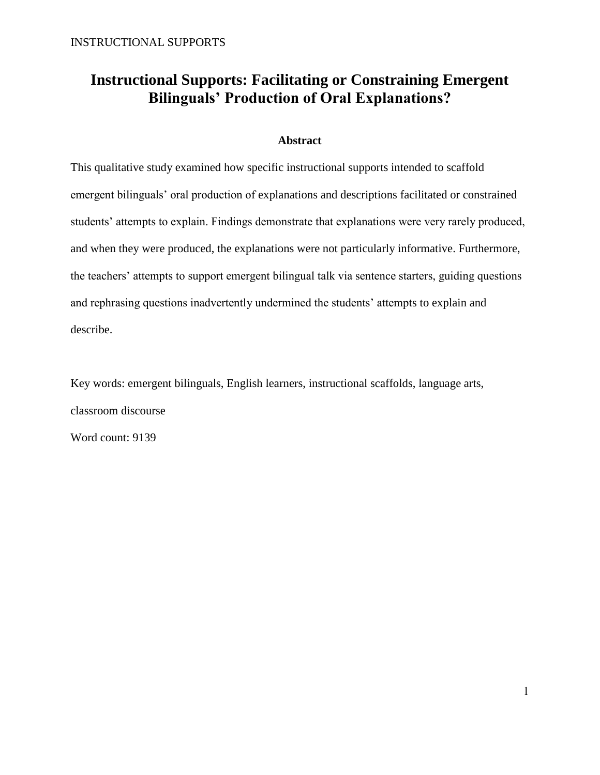# **Instructional Supports: Facilitating or Constraining Emergent Bilinguals' Production of Oral Explanations?**

# **Abstract**

This qualitative study examined how specific instructional supports intended to scaffold emergent bilinguals' oral production of explanations and descriptions facilitated or constrained students' attempts to explain. Findings demonstrate that explanations were very rarely produced, and when they were produced, the explanations were not particularly informative. Furthermore, the teachers' attempts to support emergent bilingual talk via sentence starters, guiding questions and rephrasing questions inadvertently undermined the students' attempts to explain and describe.

Key words: emergent bilinguals, English learners, instructional scaffolds, language arts, classroom discourse

Word count: 9139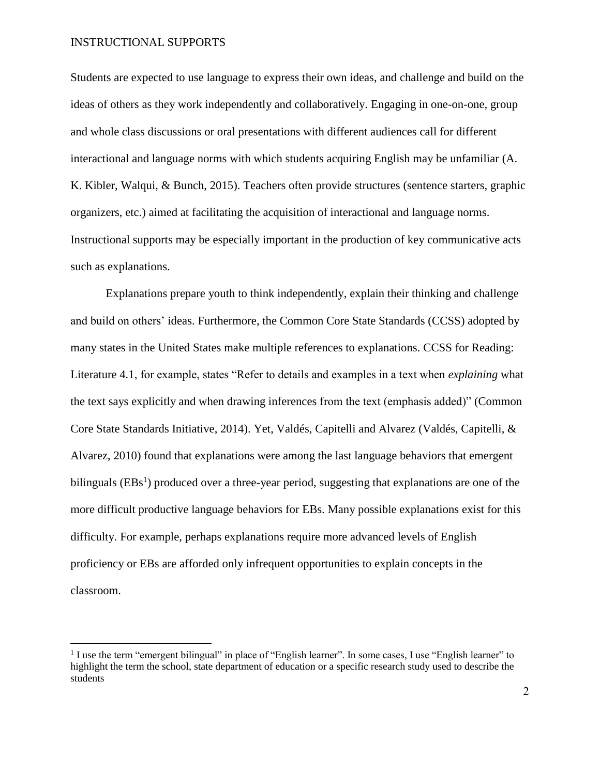$\overline{\phantom{a}}$ 

Students are expected to use language to express their own ideas, and challenge and build on the ideas of others as they work independently and collaboratively. Engaging in one-on-one, group and whole class discussions or oral presentations with different audiences call for different interactional and language norms with which students acquiring English may be unfamiliar (A. K. Kibler, Walqui, & Bunch, 2015). Teachers often provide structures (sentence starters, graphic organizers, etc.) aimed at facilitating the acquisition of interactional and language norms. Instructional supports may be especially important in the production of key communicative acts such as explanations.

Explanations prepare youth to think independently, explain their thinking and challenge and build on others' ideas. Furthermore, the Common Core State Standards (CCSS) adopted by many states in the United States make multiple references to explanations. CCSS for Reading: Literature 4.1, for example, states "Refer to details and examples in a text when *explaining* what the text says explicitly and when drawing inferences from the text (emphasis added)" (Common Core State Standards Initiative, 2014). Yet, Valdés, Capitelli and Alvarez (Valdés, Capitelli, & Alvarez, 2010) found that explanations were among the last language behaviors that emergent bilinguals (EBs<sup>1</sup>) produced over a three-year period, suggesting that explanations are one of the more difficult productive language behaviors for EBs. Many possible explanations exist for this difficulty. For example, perhaps explanations require more advanced levels of English proficiency or EBs are afforded only infrequent opportunities to explain concepts in the classroom.

<sup>&</sup>lt;sup>1</sup> I use the term "emergent bilingual" in place of "English learner". In some cases, I use "English learner" to highlight the term the school, state department of education or a specific research study used to describe the students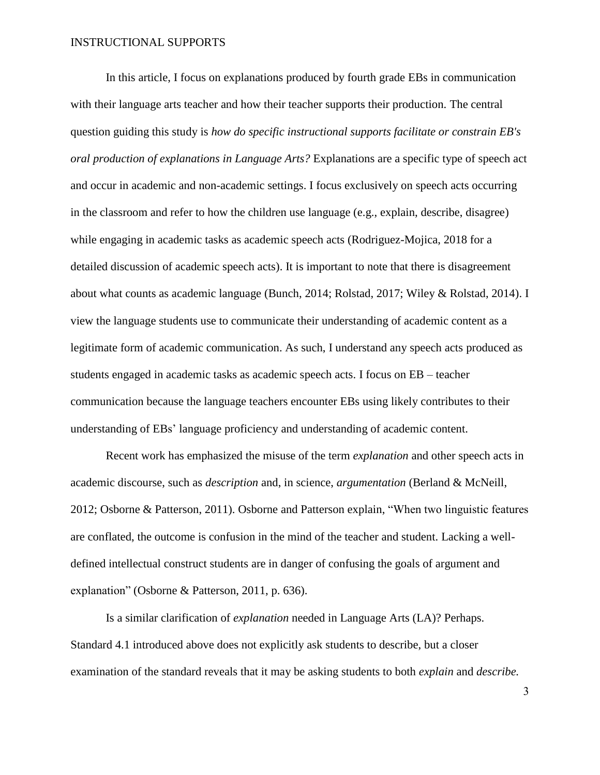In this article, I focus on explanations produced by fourth grade EBs in communication with their language arts teacher and how their teacher supports their production. The central question guiding this study is *how do specific instructional supports facilitate or constrain EB's oral production of explanations in Language Arts?* Explanations are a specific type of speech act and occur in academic and non-academic settings. I focus exclusively on speech acts occurring in the classroom and refer to how the children use language (e.g., explain, describe, disagree) while engaging in academic tasks as academic speech acts (Rodriguez-Mojica, 2018 for a detailed discussion of academic speech acts). It is important to note that there is disagreement about what counts as academic language (Bunch, 2014; Rolstad, 2017; Wiley & Rolstad, 2014). I view the language students use to communicate their understanding of academic content as a legitimate form of academic communication. As such, I understand any speech acts produced as students engaged in academic tasks as academic speech acts. I focus on EB – teacher communication because the language teachers encounter EBs using likely contributes to their understanding of EBs' language proficiency and understanding of academic content.

Recent work has emphasized the misuse of the term *explanation* and other speech acts in academic discourse, such as *description* and, in science, *argumentation* (Berland & McNeill, 2012; Osborne & Patterson, 2011). Osborne and Patterson explain, "When two linguistic features are conflated, the outcome is confusion in the mind of the teacher and student. Lacking a welldefined intellectual construct students are in danger of confusing the goals of argument and explanation" (Osborne & Patterson, 2011, p. 636).

Is a similar clarification of *explanation* needed in Language Arts (LA)? Perhaps. Standard 4.1 introduced above does not explicitly ask students to describe, but a closer examination of the standard reveals that it may be asking students to both *explain* and *describe.*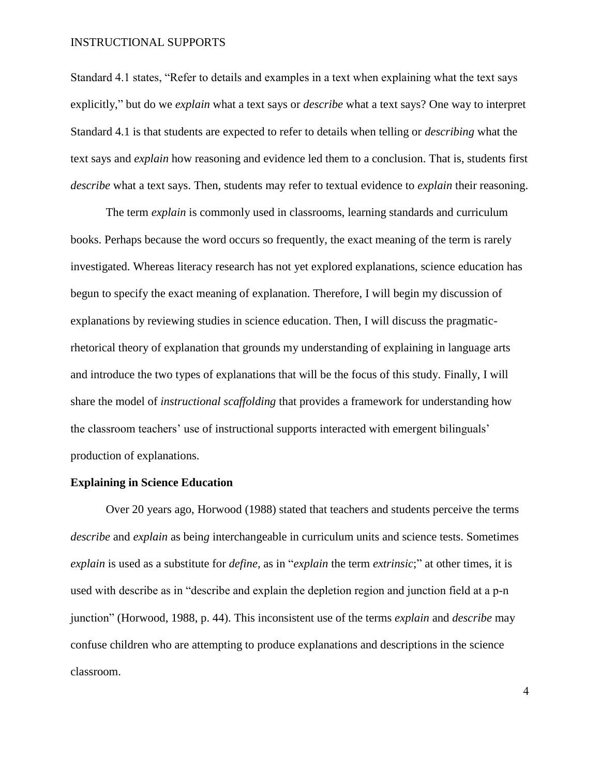Standard 4.1 states, "Refer to details and examples in a text when explaining what the text says explicitly," but do we *explain* what a text says or *describe* what a text says? One way to interpret Standard 4.1 is that students are expected to refer to details when telling or *describing* what the text says and *explain* how reasoning and evidence led them to a conclusion. That is, students first *describe* what a text says. Then, students may refer to textual evidence to *explain* their reasoning.

The term *explain* is commonly used in classrooms, learning standards and curriculum books. Perhaps because the word occurs so frequently, the exact meaning of the term is rarely investigated. Whereas literacy research has not yet explored explanations, science education has begun to specify the exact meaning of explanation. Therefore, I will begin my discussion of explanations by reviewing studies in science education. Then, I will discuss the pragmaticrhetorical theory of explanation that grounds my understanding of explaining in language arts and introduce the two types of explanations that will be the focus of this study. Finally, I will share the model of *instructional scaffolding* that provides a framework for understanding how the classroom teachers' use of instructional supports interacted with emergent bilinguals' production of explanations.

#### **Explaining in Science Education**

Over 20 years ago, Horwood (1988) stated that teachers and students perceive the terms *describe* and *explain* as bein*g* interchangeable in curriculum units and science tests. Sometimes *explain* is used as a substitute for *define,* as in "*explain* the term *extrinsic*;" at other times, it is used with describe as in "describe and explain the depletion region and junction field at a p-n junction" (Horwood, 1988, p. 44). This inconsistent use of the terms *explain* and *describe* may confuse children who are attempting to produce explanations and descriptions in the science classroom.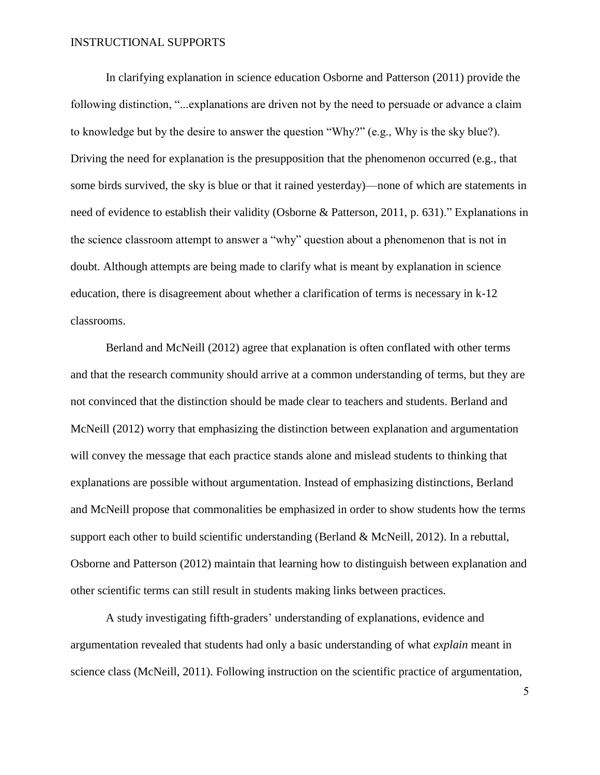In clarifying explanation in science education Osborne and Patterson (2011) provide the following distinction, "...explanations are driven not by the need to persuade or advance a claim to knowledge but by the desire to answer the question "Why?" (e.g., Why is the sky blue?). Driving the need for explanation is the presupposition that the phenomenon occurred (e.g., that some birds survived, the sky is blue or that it rained yesterday)—none of which are statements in need of evidence to establish their validity (Osborne & Patterson, 2011, p. 631)." Explanations in the science classroom attempt to answer a "why" question about a phenomenon that is not in doubt. Although attempts are being made to clarify what is meant by explanation in science education, there is disagreement about whether a clarification of terms is necessary in k-12 classrooms.

Berland and McNeill (2012) agree that explanation is often conflated with other terms and that the research community should arrive at a common understanding of terms, but they are not convinced that the distinction should be made clear to teachers and students. Berland and McNeill (2012) worry that emphasizing the distinction between explanation and argumentation will convey the message that each practice stands alone and mislead students to thinking that explanations are possible without argumentation. Instead of emphasizing distinctions, Berland and McNeill propose that commonalities be emphasized in order to show students how the terms support each other to build scientific understanding (Berland & McNeill, 2012). In a rebuttal, Osborne and Patterson (2012) maintain that learning how to distinguish between explanation and other scientific terms can still result in students making links between practices.

A study investigating fifth-graders' understanding of explanations, evidence and argumentation revealed that students had only a basic understanding of what *explain* meant in science class (McNeill, 2011). Following instruction on the scientific practice of argumentation,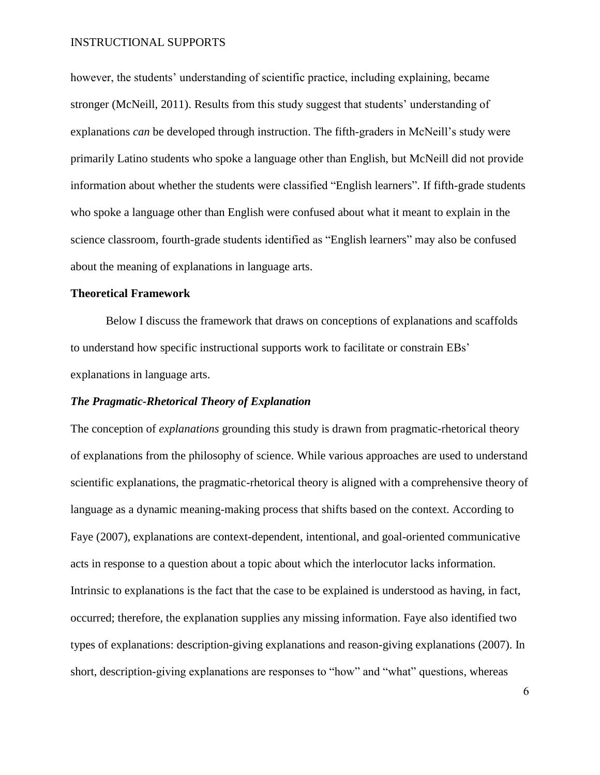however, the students' understanding of scientific practice, including explaining, became stronger (McNeill, 2011). Results from this study suggest that students' understanding of explanations *can* be developed through instruction. The fifth-graders in McNeill's study were primarily Latino students who spoke a language other than English, but McNeill did not provide information about whether the students were classified "English learners". If fifth-grade students who spoke a language other than English were confused about what it meant to explain in the science classroom, fourth-grade students identified as "English learners" may also be confused about the meaning of explanations in language arts.

#### **Theoretical Framework**

Below I discuss the framework that draws on conceptions of explanations and scaffolds to understand how specific instructional supports work to facilitate or constrain EBs' explanations in language arts.

# *The Pragmatic-Rhetorical Theory of Explanation*

The conception of *explanations* grounding this study is drawn from pragmatic-rhetorical theory of explanations from the philosophy of science. While various approaches are used to understand scientific explanations, the pragmatic-rhetorical theory is aligned with a comprehensive theory of language as a dynamic meaning-making process that shifts based on the context. According to Faye (2007), explanations are context-dependent, intentional, and goal-oriented communicative acts in response to a question about a topic about which the interlocutor lacks information. Intrinsic to explanations is the fact that the case to be explained is understood as having, in fact, occurred; therefore, the explanation supplies any missing information. Faye also identified two types of explanations: description-giving explanations and reason-giving explanations (2007). In short, description-giving explanations are responses to "how" and "what" questions, whereas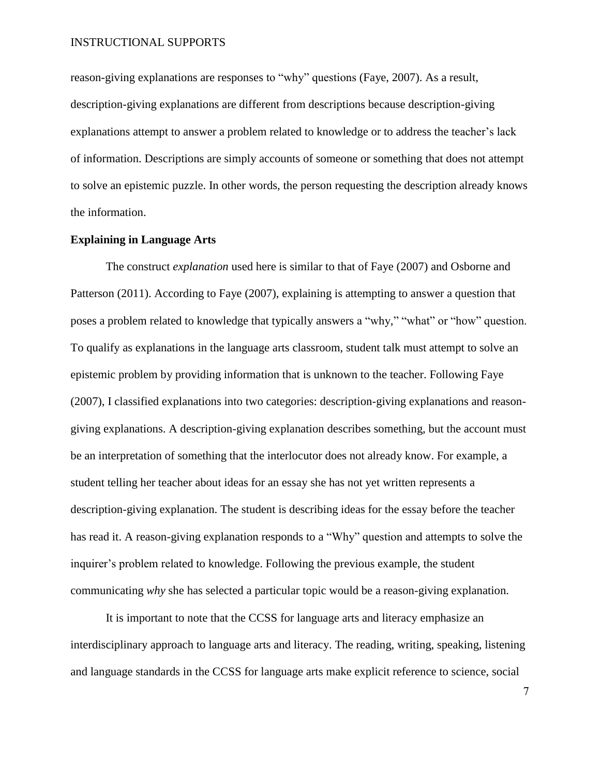reason-giving explanations are responses to "why" questions (Faye, 2007). As a result, description-giving explanations are different from descriptions because description-giving explanations attempt to answer a problem related to knowledge or to address the teacher's lack of information. Descriptions are simply accounts of someone or something that does not attempt to solve an epistemic puzzle. In other words, the person requesting the description already knows the information.

#### **Explaining in Language Arts**

The construct *explanation* used here is similar to that of Faye (2007) and Osborne and Patterson (2011). According to Faye (2007), explaining is attempting to answer a question that poses a problem related to knowledge that typically answers a "why," "what" or "how" question. To qualify as explanations in the language arts classroom, student talk must attempt to solve an epistemic problem by providing information that is unknown to the teacher. Following Faye (2007), I classified explanations into two categories: description-giving explanations and reasongiving explanations. A description-giving explanation describes something, but the account must be an interpretation of something that the interlocutor does not already know. For example, a student telling her teacher about ideas for an essay she has not yet written represents a description-giving explanation. The student is describing ideas for the essay before the teacher has read it. A reason-giving explanation responds to a "Why" question and attempts to solve the inquirer's problem related to knowledge. Following the previous example, the student communicating *why* she has selected a particular topic would be a reason-giving explanation.

It is important to note that the CCSS for language arts and literacy emphasize an interdisciplinary approach to language arts and literacy. The reading, writing, speaking, listening and language standards in the CCSS for language arts make explicit reference to science, social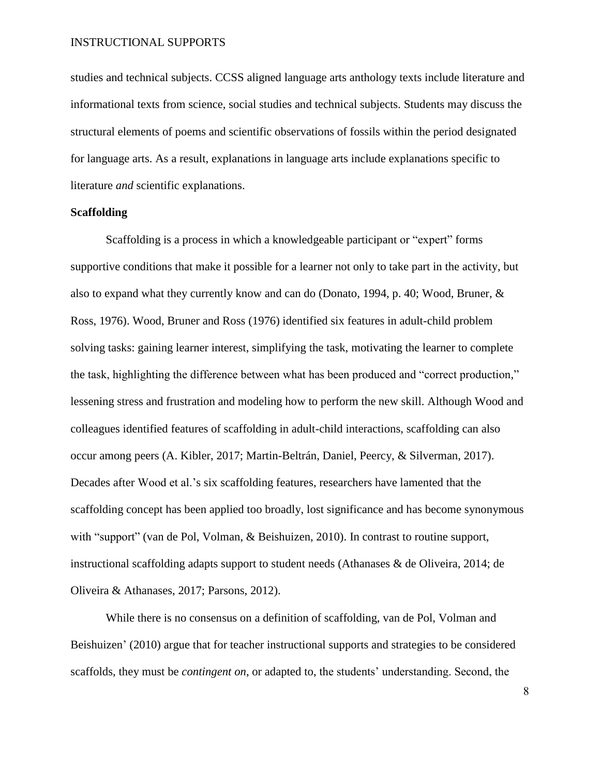studies and technical subjects. CCSS aligned language arts anthology texts include literature and informational texts from science, social studies and technical subjects. Students may discuss the structural elements of poems and scientific observations of fossils within the period designated for language arts. As a result, explanations in language arts include explanations specific to literature *and* scientific explanations.

#### **Scaffolding**

Scaffolding is a process in which a knowledgeable participant or "expert" forms supportive conditions that make it possible for a learner not only to take part in the activity, but also to expand what they currently know and can do (Donato, 1994, p. 40; Wood, Bruner, & Ross, 1976). Wood, Bruner and Ross (1976) identified six features in adult-child problem solving tasks: gaining learner interest, simplifying the task, motivating the learner to complete the task, highlighting the difference between what has been produced and "correct production," lessening stress and frustration and modeling how to perform the new skill. Although Wood and colleagues identified features of scaffolding in adult-child interactions, scaffolding can also occur among peers (A. Kibler, 2017; Martin-Beltrán, Daniel, Peercy, & Silverman, 2017). Decades after Wood et al.'s six scaffolding features, researchers have lamented that the scaffolding concept has been applied too broadly, lost significance and has become synonymous with "support" (van de Pol, Volman, & Beishuizen, 2010). In contrast to routine support, instructional scaffolding adapts support to student needs (Athanases & de Oliveira, 2014; de Oliveira & Athanases, 2017; Parsons, 2012).

While there is no consensus on a definition of scaffolding, van de Pol, Volman and Beishuizen' (2010) argue that for teacher instructional supports and strategies to be considered scaffolds, they must be *contingent on*, or adapted to, the students' understanding. Second, the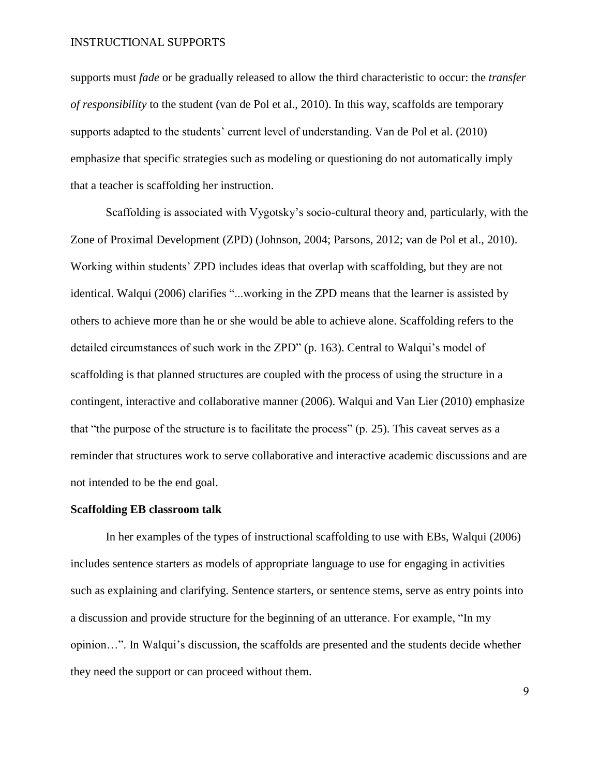supports must *fade* or be gradually released to allow the third characteristic to occur: the *transfer of responsibility* to the student (van de Pol et al., 2010). In this way, scaffolds are temporary supports adapted to the students' current level of understanding. Van de Pol et al. (2010) emphasize that specific strategies such as modeling or questioning do not automatically imply that a teacher is scaffolding her instruction.

Scaffolding is associated with Vygotsky's socio-cultural theory and, particularly, with the Zone of Proximal Development (ZPD) (Johnson, 2004; Parsons, 2012; van de Pol et al., 2010). Working within students' ZPD includes ideas that overlap with scaffolding, but they are not identical. Walqui (2006) clarifies "...working in the ZPD means that the learner is assisted by others to achieve more than he or she would be able to achieve alone. Scaffolding refers to the detailed circumstances of such work in the ZPD" (p. 163). Central to Walqui's model of scaffolding is that planned structures are coupled with the process of using the structure in a contingent, interactive and collaborative manner (2006). Walqui and Van Lier (2010) emphasize that "the purpose of the structure is to facilitate the process" (p. 25). This caveat serves as a reminder that structures work to serve collaborative and interactive academic discussions and are not intended to be the end goal.

#### **Scaffolding EB classroom talk**

In her examples of the types of instructional scaffolding to use with EBs, Walqui (2006) includes sentence starters as models of appropriate language to use for engaging in activities such as explaining and clarifying. Sentence starters, or sentence stems, serve as entry points into a discussion and provide structure for the beginning of an utterance. For example, "In my opinion…". In Walqui's discussion, the scaffolds are presented and the students decide whether they need the support or can proceed without them.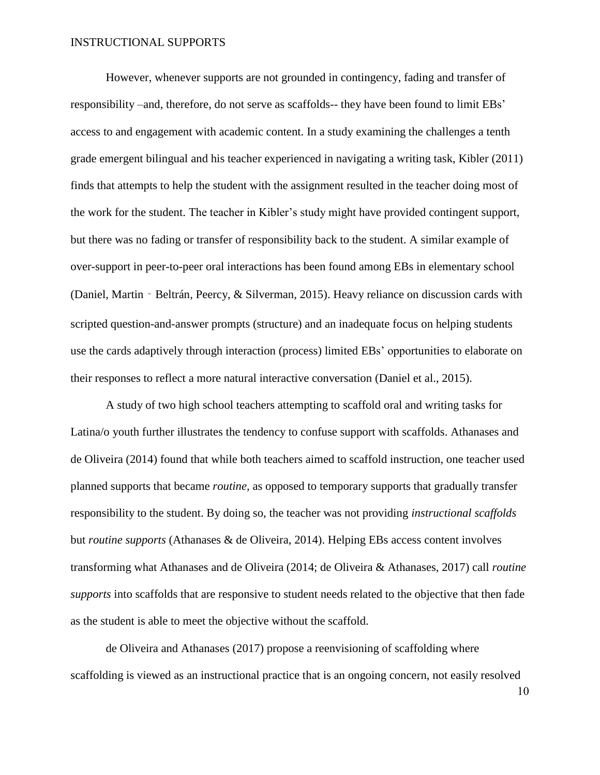However, whenever supports are not grounded in contingency, fading and transfer of responsibility –and, therefore, do not serve as scaffolds-- they have been found to limit EBs' access to and engagement with academic content. In a study examining the challenges a tenth grade emergent bilingual and his teacher experienced in navigating a writing task, Kibler (2011) finds that attempts to help the student with the assignment resulted in the teacher doing most of the work for the student. The teacher in Kibler's study might have provided contingent support, but there was no fading or transfer of responsibility back to the student. A similar example of over-support in peer-to-peer oral interactions has been found among EBs in elementary school (Daniel, Martin - Beltrán, Peercy, & Silverman, 2015). Heavy reliance on discussion cards with scripted question-and-answer prompts (structure) and an inadequate focus on helping students use the cards adaptively through interaction (process) limited EBs' opportunities to elaborate on their responses to reflect a more natural interactive conversation (Daniel et al., 2015).

A study of two high school teachers attempting to scaffold oral and writing tasks for Latina/o youth further illustrates the tendency to confuse support with scaffolds. Athanases and de Oliveira (2014) found that while both teachers aimed to scaffold instruction, one teacher used planned supports that became *routine,* as opposed to temporary supports that gradually transfer responsibility to the student. By doing so, the teacher was not providing *instructional scaffolds* but *routine supports* (Athanases & de Oliveira, 2014). Helping EBs access content involves transforming what Athanases and de Oliveira (2014; de Oliveira & Athanases, 2017) call *routine supports* into scaffolds that are responsive to student needs related to the objective that then fade as the student is able to meet the objective without the scaffold.

de Oliveira and Athanases (2017) propose a reenvisioning of scaffolding where scaffolding is viewed as an instructional practice that is an ongoing concern, not easily resolved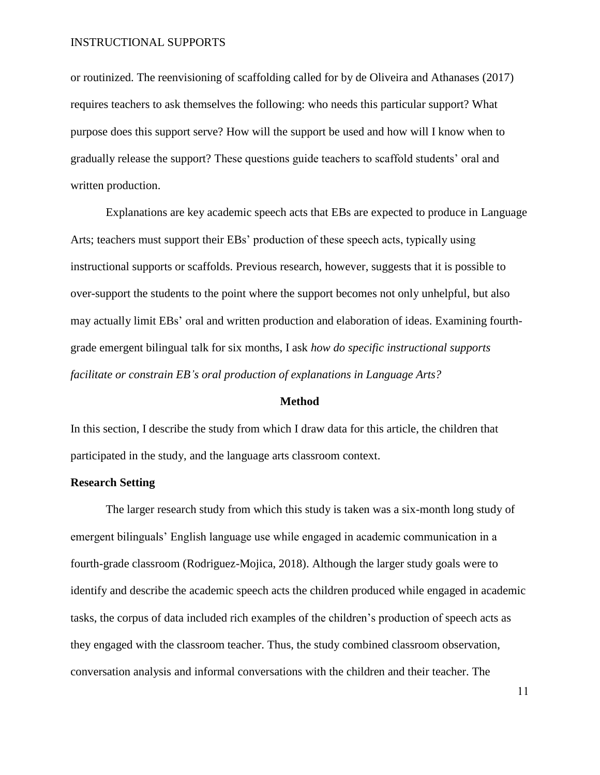or routinized. The reenvisioning of scaffolding called for by de Oliveira and Athanases (2017) requires teachers to ask themselves the following: who needs this particular support? What purpose does this support serve? How will the support be used and how will I know when to gradually release the support? These questions guide teachers to scaffold students' oral and written production.

Explanations are key academic speech acts that EBs are expected to produce in Language Arts; teachers must support their EBs' production of these speech acts, typically using instructional supports or scaffolds. Previous research, however, suggests that it is possible to over-support the students to the point where the support becomes not only unhelpful, but also may actually limit EBs' oral and written production and elaboration of ideas. Examining fourthgrade emergent bilingual talk for six months, I ask *how do specific instructional supports facilitate or constrain EB's oral production of explanations in Language Arts?* 

#### **Method**

In this section, I describe the study from which I draw data for this article, the children that participated in the study, and the language arts classroom context.

#### **Research Setting**

The larger research study from which this study is taken was a six-month long study of emergent bilinguals' English language use while engaged in academic communication in a fourth-grade classroom (Rodriguez-Mojica, 2018). Although the larger study goals were to identify and describe the academic speech acts the children produced while engaged in academic tasks, the corpus of data included rich examples of the children's production of speech acts as they engaged with the classroom teacher. Thus, the study combined classroom observation, conversation analysis and informal conversations with the children and their teacher. The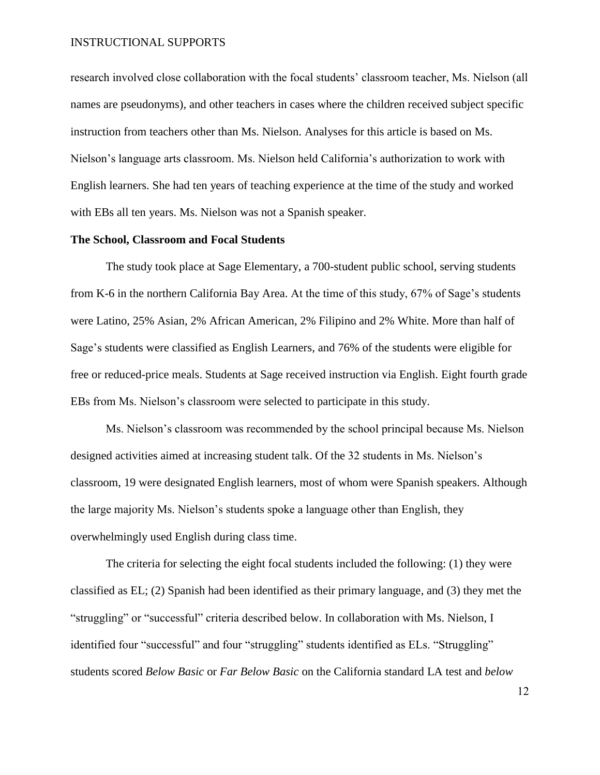research involved close collaboration with the focal students' classroom teacher, Ms. Nielson (all names are pseudonyms), and other teachers in cases where the children received subject specific instruction from teachers other than Ms. Nielson. Analyses for this article is based on Ms. Nielson's language arts classroom. Ms. Nielson held California's authorization to work with English learners. She had ten years of teaching experience at the time of the study and worked with EBs all ten years. Ms. Nielson was not a Spanish speaker.

#### **The School, Classroom and Focal Students**

The study took place at Sage Elementary, a 700-student public school, serving students from K-6 in the northern California Bay Area. At the time of this study, 67% of Sage's students were Latino, 25% Asian, 2% African American, 2% Filipino and 2% White. More than half of Sage's students were classified as English Learners, and 76% of the students were eligible for free or reduced-price meals. Students at Sage received instruction via English. Eight fourth grade EBs from Ms. Nielson's classroom were selected to participate in this study.

Ms. Nielson's classroom was recommended by the school principal because Ms. Nielson designed activities aimed at increasing student talk. Of the 32 students in Ms. Nielson's classroom, 19 were designated English learners, most of whom were Spanish speakers. Although the large majority Ms. Nielson's students spoke a language other than English, they overwhelmingly used English during class time.

The criteria for selecting the eight focal students included the following: (1) they were classified as EL; (2) Spanish had been identified as their primary language, and (3) they met the "struggling" or "successful" criteria described below. In collaboration with Ms. Nielson, I identified four "successful" and four "struggling" students identified as ELs. "Struggling" students scored *Below Basic* or *Far Below Basic* on the California standard LA test and *below*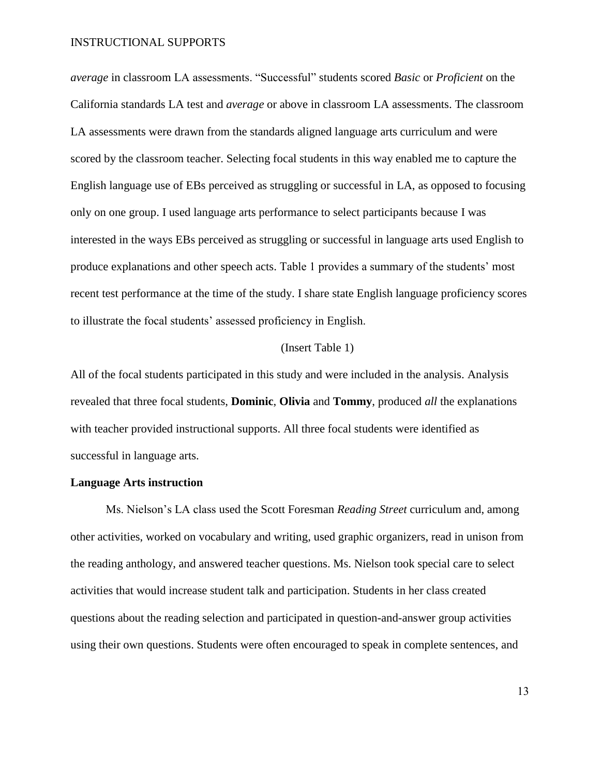*average* in classroom LA assessments. "Successful" students scored *Basic* or *Proficient* on the California standards LA test and *average* or above in classroom LA assessments. The classroom LA assessments were drawn from the standards aligned language arts curriculum and were scored by the classroom teacher. Selecting focal students in this way enabled me to capture the English language use of EBs perceived as struggling or successful in LA, as opposed to focusing only on one group. I used language arts performance to select participants because I was interested in the ways EBs perceived as struggling or successful in language arts used English to produce explanations and other speech acts. Table 1 provides a summary of the students' most recent test performance at the time of the study. I share state English language proficiency scores to illustrate the focal students' assessed proficiency in English.

#### (Insert Table 1)

All of the focal students participated in this study and were included in the analysis. Analysis revealed that three focal students, **Dominic**, **Olivia** and **Tommy**, produced *all* the explanations with teacher provided instructional supports. All three focal students were identified as successful in language arts.

#### **Language Arts instruction**

Ms. Nielson's LA class used the Scott Foresman *Reading Street* curriculum and, among other activities, worked on vocabulary and writing, used graphic organizers, read in unison from the reading anthology, and answered teacher questions. Ms. Nielson took special care to select activities that would increase student talk and participation. Students in her class created questions about the reading selection and participated in question-and-answer group activities using their own questions. Students were often encouraged to speak in complete sentences, and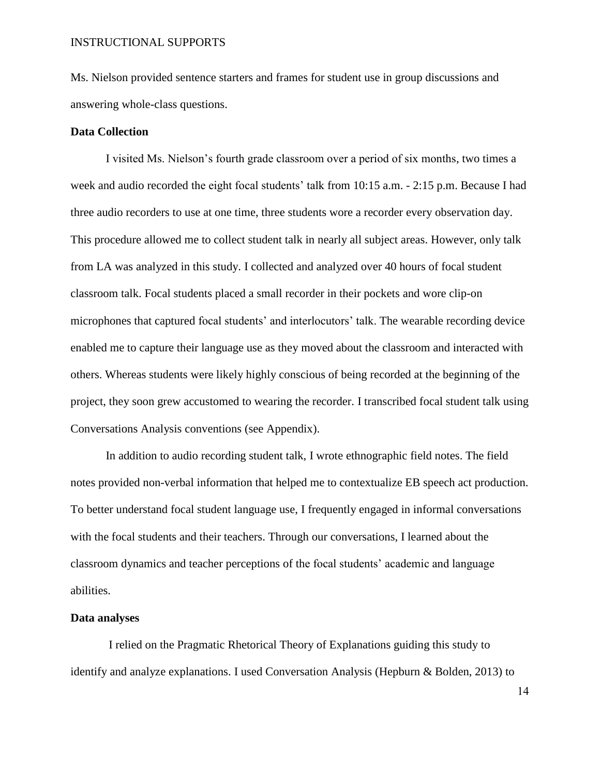Ms. Nielson provided sentence starters and frames for student use in group discussions and answering whole-class questions.

#### **Data Collection**

I visited Ms. Nielson's fourth grade classroom over a period of six months, two times a week and audio recorded the eight focal students' talk from 10:15 a.m. - 2:15 p.m. Because I had three audio recorders to use at one time, three students wore a recorder every observation day. This procedure allowed me to collect student talk in nearly all subject areas. However, only talk from LA was analyzed in this study. I collected and analyzed over 40 hours of focal student classroom talk. Focal students placed a small recorder in their pockets and wore clip-on microphones that captured focal students' and interlocutors' talk. The wearable recording device enabled me to capture their language use as they moved about the classroom and interacted with others. Whereas students were likely highly conscious of being recorded at the beginning of the project, they soon grew accustomed to wearing the recorder. I transcribed focal student talk using Conversations Analysis conventions (see Appendix).

In addition to audio recording student talk, I wrote ethnographic field notes. The field notes provided non-verbal information that helped me to contextualize EB speech act production. To better understand focal student language use, I frequently engaged in informal conversations with the focal students and their teachers. Through our conversations, I learned about the classroom dynamics and teacher perceptions of the focal students' academic and language abilities.

#### **Data analyses**

I relied on the Pragmatic Rhetorical Theory of Explanations guiding this study to identify and analyze explanations. I used Conversation Analysis (Hepburn & Bolden, 2013) to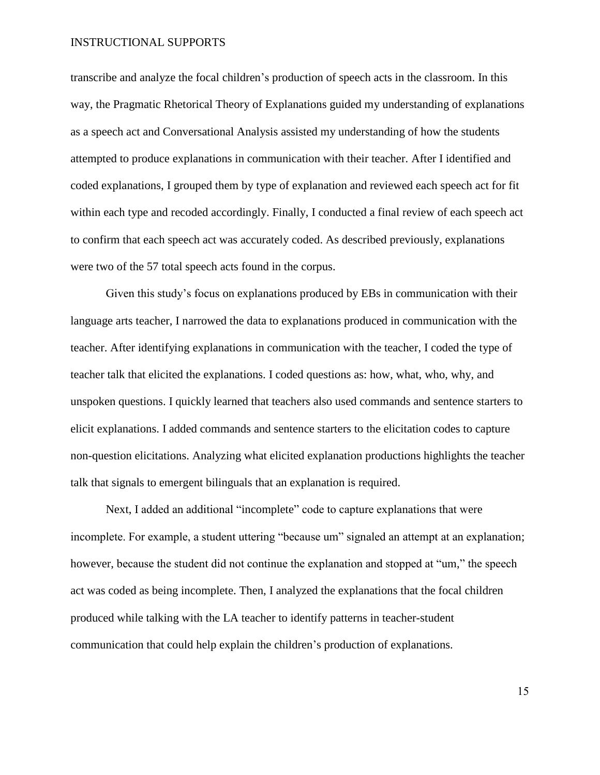transcribe and analyze the focal children's production of speech acts in the classroom. In this way, the Pragmatic Rhetorical Theory of Explanations guided my understanding of explanations as a speech act and Conversational Analysis assisted my understanding of how the students attempted to produce explanations in communication with their teacher. After I identified and coded explanations, I grouped them by type of explanation and reviewed each speech act for fit within each type and recoded accordingly. Finally, I conducted a final review of each speech act to confirm that each speech act was accurately coded. As described previously, explanations were two of the 57 total speech acts found in the corpus.

Given this study's focus on explanations produced by EBs in communication with their language arts teacher, I narrowed the data to explanations produced in communication with the teacher. After identifying explanations in communication with the teacher, I coded the type of teacher talk that elicited the explanations. I coded questions as: how, what, who, why, and unspoken questions. I quickly learned that teachers also used commands and sentence starters to elicit explanations. I added commands and sentence starters to the elicitation codes to capture non-question elicitations. Analyzing what elicited explanation productions highlights the teacher talk that signals to emergent bilinguals that an explanation is required.

Next, I added an additional "incomplete" code to capture explanations that were incomplete. For example, a student uttering "because um" signaled an attempt at an explanation; however, because the student did not continue the explanation and stopped at "um," the speech act was coded as being incomplete. Then, I analyzed the explanations that the focal children produced while talking with the LA teacher to identify patterns in teacher-student communication that could help explain the children's production of explanations.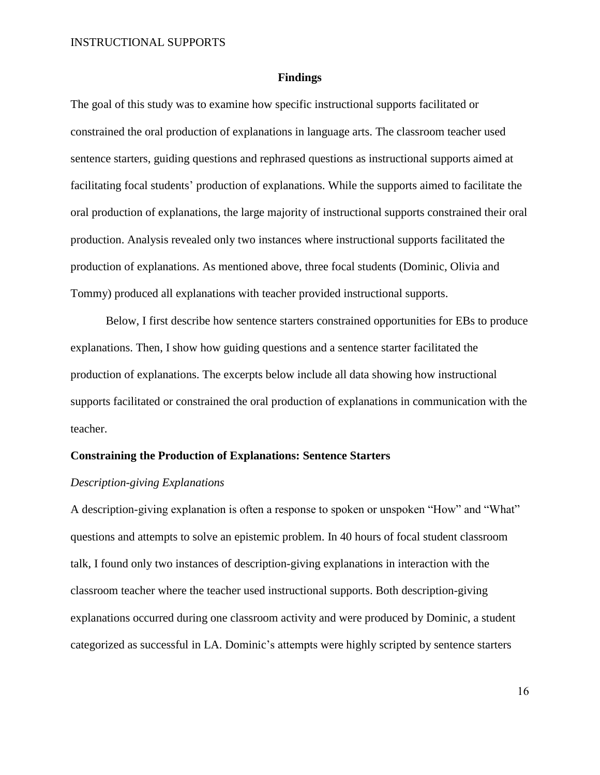#### **Findings**

The goal of this study was to examine how specific instructional supports facilitated or constrained the oral production of explanations in language arts. The classroom teacher used sentence starters, guiding questions and rephrased questions as instructional supports aimed at facilitating focal students' production of explanations. While the supports aimed to facilitate the oral production of explanations, the large majority of instructional supports constrained their oral production. Analysis revealed only two instances where instructional supports facilitated the production of explanations. As mentioned above, three focal students (Dominic, Olivia and Tommy) produced all explanations with teacher provided instructional supports.

Below, I first describe how sentence starters constrained opportunities for EBs to produce explanations. Then, I show how guiding questions and a sentence starter facilitated the production of explanations. The excerpts below include all data showing how instructional supports facilitated or constrained the oral production of explanations in communication with the teacher.

#### **Constraining the Production of Explanations: Sentence Starters**

#### *Description-giving Explanations*

A description-giving explanation is often a response to spoken or unspoken "How" and "What" questions and attempts to solve an epistemic problem. In 40 hours of focal student classroom talk, I found only two instances of description-giving explanations in interaction with the classroom teacher where the teacher used instructional supports. Both description-giving explanations occurred during one classroom activity and were produced by Dominic, a student categorized as successful in LA. Dominic's attempts were highly scripted by sentence starters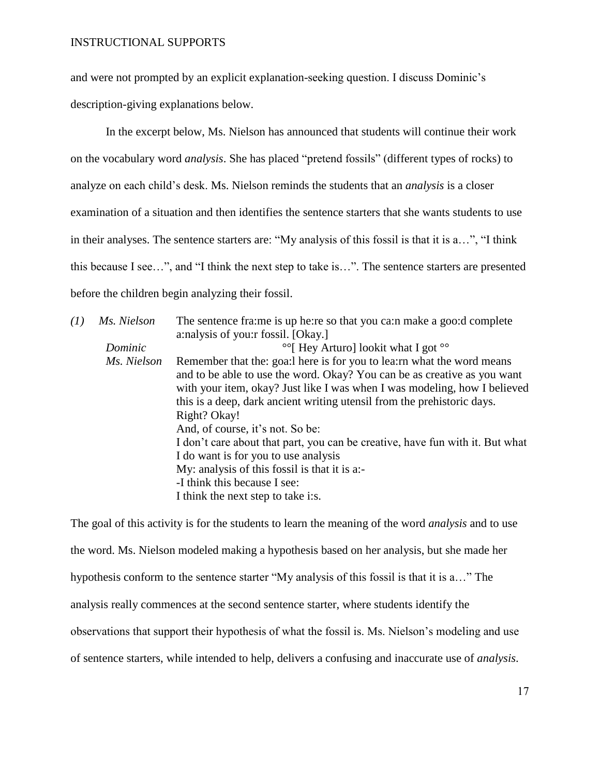and were not prompted by an explicit explanation-seeking question. I discuss Dominic's description-giving explanations below.

In the excerpt below, Ms. Nielson has announced that students will continue their work on the vocabulary word *analysis*. She has placed "pretend fossils" (different types of rocks) to analyze on each child's desk. Ms. Nielson reminds the students that an *analysis* is a closer examination of a situation and then identifies the sentence starters that she wants students to use in their analyses. The sentence starters are: "My analysis of this fossil is that it is a…", "I think this because I see…", and "I think the next step to take is…". The sentence starters are presented before the children begin analyzing their fossil.

| (I) | Ms. Nielson | The sentence frame is up heire so that you can make a good complete           |
|-----|-------------|-------------------------------------------------------------------------------|
|     |             | a: nalysis of you: r fossil. [Okay.]                                          |
|     | Dominic     | <sup>oo</sup> [Hey Arturo] lookit what I got <sup>oo</sup>                    |
|     | Ms. Nielson | Remember that the: goa: l here is for you to lea: m what the word means       |
|     |             | and to be able to use the word. Okay? You can be as creative as you want      |
|     |             | with your item, okay? Just like I was when I was modeling, how I believed     |
|     |             | this is a deep, dark ancient writing utensil from the prehistoric days.       |
|     |             | Right? Okay!                                                                  |
|     |             | And, of course, it's not. So be:                                              |
|     |             | I don't care about that part, you can be creative, have fun with it. But what |
|     |             | I do want is for you to use analysis                                          |
|     |             | My: analysis of this fossil is that it is a:-                                 |
|     |             | -I think this because I see:                                                  |
|     |             | I think the next step to take i:s.                                            |

The goal of this activity is for the students to learn the meaning of the word *analysis* and to use the word. Ms. Nielson modeled making a hypothesis based on her analysis, but she made her hypothesis conform to the sentence starter "My analysis of this fossil is that it is a…" The analysis really commences at the second sentence starter, where students identify the observations that support their hypothesis of what the fossil is. Ms. Nielson's modeling and use of sentence starters, while intended to help, delivers a confusing and inaccurate use of *analysis*.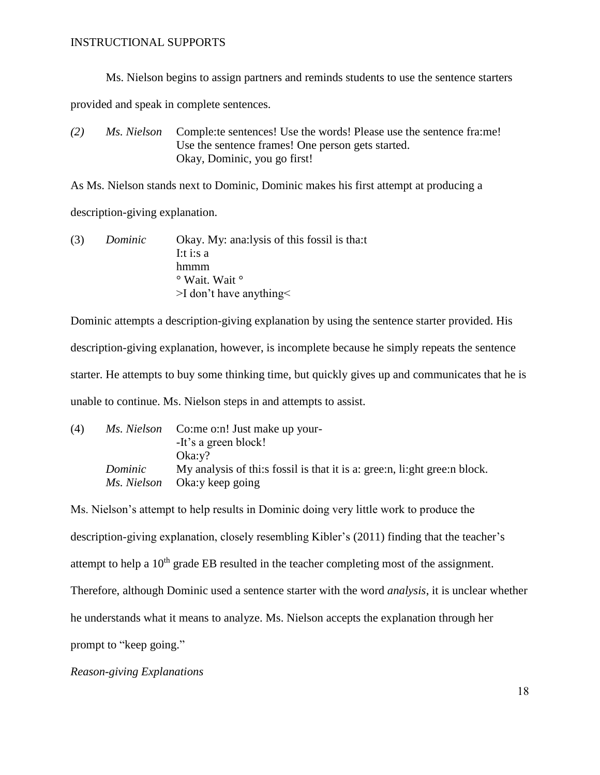Ms. Nielson begins to assign partners and reminds students to use the sentence starters

provided and speak in complete sentences.

*(2) Ms. Nielson* Comple:te sentences! Use the words! Please use the sentence fra:me! Use the sentence frames! One person gets started. Okay, Dominic, you go first!

As Ms. Nielson stands next to Dominic, Dominic makes his first attempt at producing a

description-giving explanation.

(3) *Dominic* Okay. My: ana:lysis of this fossil is tha:t I:t i:s a hmmm ° Wait. Wait ° >I don't have anything<

Dominic attempts a description-giving explanation by using the sentence starter provided. His description-giving explanation, however, is incomplete because he simply repeats the sentence starter. He attempts to buy some thinking time, but quickly gives up and communicates that he is unable to continue. Ms. Nielson steps in and attempts to assist.

| (4) |         | <i>Ms. Nielson</i> Co:me o:n! Just make up your-                         |  |
|-----|---------|--------------------------------------------------------------------------|--|
|     |         | -It's a green block!                                                     |  |
|     |         | $Ok$ a: $v$ ?                                                            |  |
|     | Dominic | My analysis of this fossil is that it is a: gree:n, li:ght gree:n block. |  |
|     |         | <i>Ms. Nielson</i> Oka:y keep going                                      |  |

Ms. Nielson's attempt to help results in Dominic doing very little work to produce the description-giving explanation, closely resembling Kibler's (2011) finding that the teacher's attempt to help a  $10<sup>th</sup>$  grade EB resulted in the teacher completing most of the assignment. Therefore, although Dominic used a sentence starter with the word *analysis*, it is unclear whether he understands what it means to analyze. Ms. Nielson accepts the explanation through her prompt to "keep going."

*Reason-giving Explanations*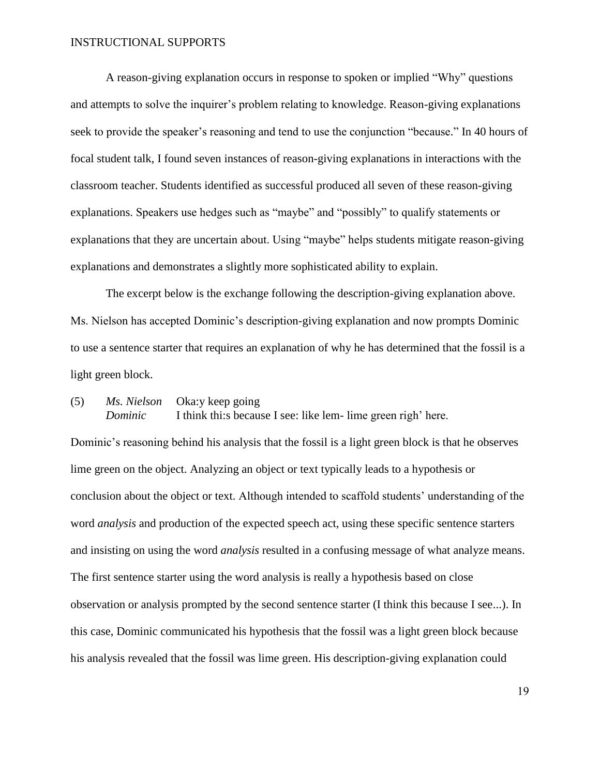A reason-giving explanation occurs in response to spoken or implied "Why" questions and attempts to solve the inquirer's problem relating to knowledge. Reason-giving explanations seek to provide the speaker's reasoning and tend to use the conjunction "because." In 40 hours of focal student talk, I found seven instances of reason-giving explanations in interactions with the classroom teacher. Students identified as successful produced all seven of these reason-giving explanations. Speakers use hedges such as "maybe" and "possibly" to qualify statements or explanations that they are uncertain about. Using "maybe" helps students mitigate reason-giving explanations and demonstrates a slightly more sophisticated ability to explain.

The excerpt below is the exchange following the description-giving explanation above. Ms. Nielson has accepted Dominic's description-giving explanation and now prompts Dominic to use a sentence starter that requires an explanation of why he has determined that the fossil is a light green block.

(5) *Ms. Nielson* Oka:y keep going *Dominic* I think thi:s because I see: like lem- lime green righ' here.

Dominic's reasoning behind his analysis that the fossil is a light green block is that he observes lime green on the object. Analyzing an object or text typically leads to a hypothesis or conclusion about the object or text. Although intended to scaffold students' understanding of the word *analysis* and production of the expected speech act, using these specific sentence starters and insisting on using the word *analysis* resulted in a confusing message of what analyze means. The first sentence starter using the word analysis is really a hypothesis based on close observation or analysis prompted by the second sentence starter (I think this because I see...). In this case, Dominic communicated his hypothesis that the fossil was a light green block because his analysis revealed that the fossil was lime green. His description-giving explanation could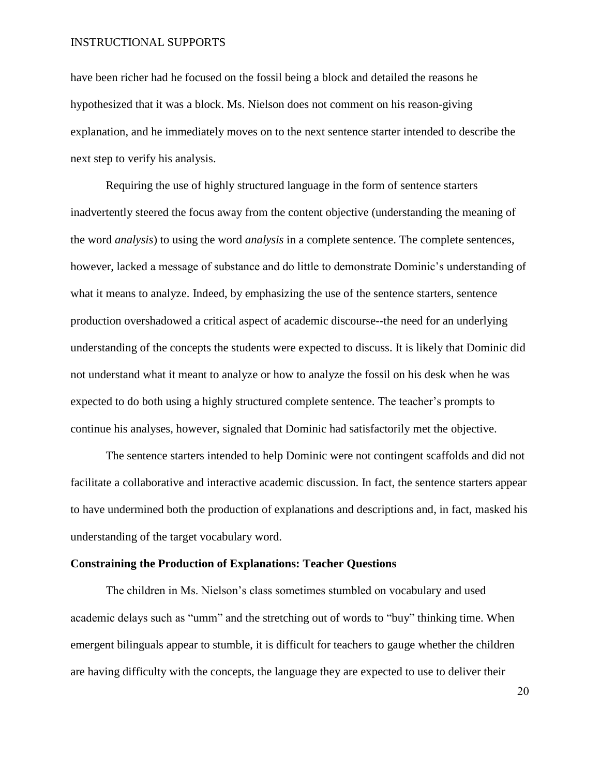have been richer had he focused on the fossil being a block and detailed the reasons he hypothesized that it was a block. Ms. Nielson does not comment on his reason-giving explanation, and he immediately moves on to the next sentence starter intended to describe the next step to verify his analysis.

Requiring the use of highly structured language in the form of sentence starters inadvertently steered the focus away from the content objective (understanding the meaning of the word *analysis*) to using the word *analysis* in a complete sentence. The complete sentences, however, lacked a message of substance and do little to demonstrate Dominic's understanding of what it means to analyze. Indeed, by emphasizing the use of the sentence starters, sentence production overshadowed a critical aspect of academic discourse--the need for an underlying understanding of the concepts the students were expected to discuss. It is likely that Dominic did not understand what it meant to analyze or how to analyze the fossil on his desk when he was expected to do both using a highly structured complete sentence. The teacher's prompts to continue his analyses, however, signaled that Dominic had satisfactorily met the objective.

The sentence starters intended to help Dominic were not contingent scaffolds and did not facilitate a collaborative and interactive academic discussion. In fact, the sentence starters appear to have undermined both the production of explanations and descriptions and, in fact, masked his understanding of the target vocabulary word.

#### **Constraining the Production of Explanations: Teacher Questions**

The children in Ms. Nielson's class sometimes stumbled on vocabulary and used academic delays such as "umm" and the stretching out of words to "buy" thinking time. When emergent bilinguals appear to stumble, it is difficult for teachers to gauge whether the children are having difficulty with the concepts, the language they are expected to use to deliver their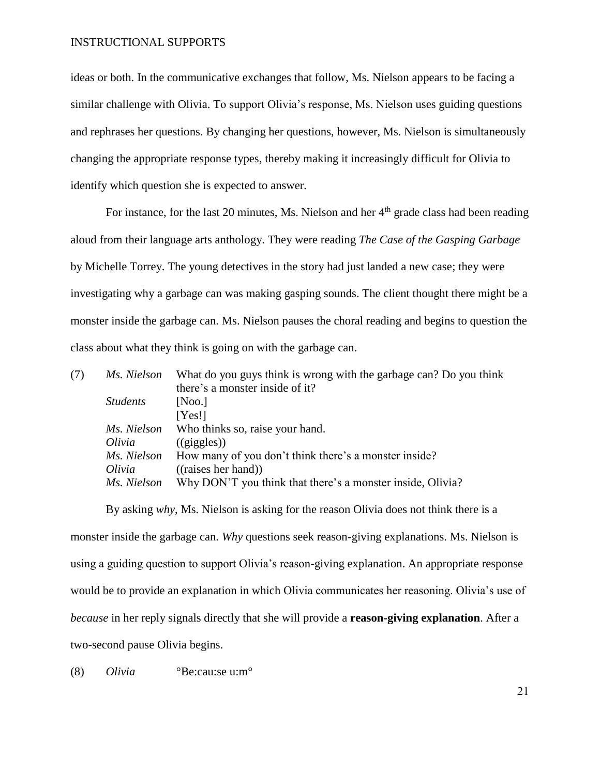ideas or both. In the communicative exchanges that follow, Ms. Nielson appears to be facing a similar challenge with Olivia. To support Olivia's response, Ms. Nielson uses guiding questions and rephrases her questions. By changing her questions, however, Ms. Nielson is simultaneously changing the appropriate response types, thereby making it increasingly difficult for Olivia to identify which question she is expected to answer.

For instance, for the last 20 minutes, Ms. Nielson and her  $4<sup>th</sup>$  grade class had been reading aloud from their language arts anthology. They were reading *The Case of the Gasping Garbage*  by Michelle Torrey. The young detectives in the story had just landed a new case; they were investigating why a garbage can was making gasping sounds. The client thought there might be a monster inside the garbage can. Ms. Nielson pauses the choral reading and begins to question the class about what they think is going on with the garbage can.

| (7) | Ms. Nielson     | What do you guys think is wrong with the garbage can? Do you think       |  |
|-----|-----------------|--------------------------------------------------------------------------|--|
|     |                 | there's a monster inside of it?                                          |  |
|     | <i>Students</i> | [Noo.]                                                                   |  |
|     |                 | [Yes!]                                                                   |  |
|     |                 | Ms. Nielson Who thinks so, raise your hand.                              |  |
|     | Olivia          | ((giggles))                                                              |  |
|     |                 | <i>Ms. Nielson</i> How many of you don't think there's a monster inside? |  |
|     | Olivia          | $((\text{raise } s \text{ her hand}))$                                   |  |
|     | Ms. Nielson     | Why DON'T you think that there's a monster inside, Olivia?               |  |
|     |                 |                                                                          |  |

By asking *why*, Ms. Nielson is asking for the reason Olivia does not think there is a monster inside the garbage can. *Why* questions seek reason-giving explanations. Ms. Nielson is using a guiding question to support Olivia's reason-giving explanation. An appropriate response would be to provide an explanation in which Olivia communicates her reasoning. Olivia's use of *because* in her reply signals directly that she will provide a **reason-giving explanation**. After a two-second pause Olivia begins.

(8) *Olivia* °Be:cau:se u:m°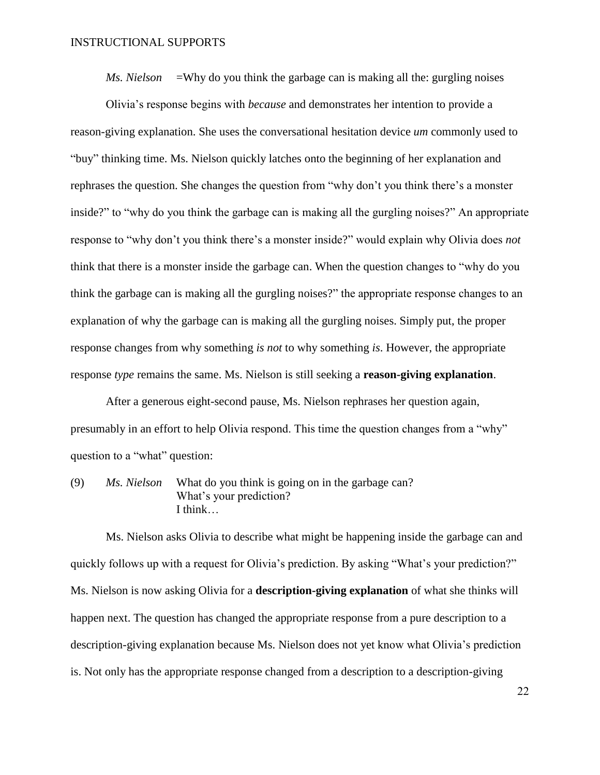*Ms. Nielson* =Why do you think the garbage can is making all the: gurgling noises

Olivia's response begins with *because* and demonstrates her intention to provide a reason-giving explanation. She uses the conversational hesitation device *um* commonly used to "buy" thinking time. Ms. Nielson quickly latches onto the beginning of her explanation and rephrases the question. She changes the question from "why don't you think there's a monster inside?" to "why do you think the garbage can is making all the gurgling noises?" An appropriate response to "why don't you think there's a monster inside?" would explain why Olivia does *not* think that there is a monster inside the garbage can. When the question changes to "why do you think the garbage can is making all the gurgling noises?" the appropriate response changes to an explanation of why the garbage can is making all the gurgling noises. Simply put, the proper response changes from why something *is not* to why something *is*. However, the appropriate response *type* remains the same. Ms. Nielson is still seeking a **reason-giving explanation**.

After a generous eight-second pause, Ms. Nielson rephrases her question again, presumably in an effort to help Olivia respond. This time the question changes from a "why" question to a "what" question:

(9) *Ms. Nielson* What do you think is going on in the garbage can? What's your prediction? I think…

Ms. Nielson asks Olivia to describe what might be happening inside the garbage can and quickly follows up with a request for Olivia's prediction. By asking "What's your prediction?" Ms. Nielson is now asking Olivia for a **description-giving explanation** of what she thinks will happen next. The question has changed the appropriate response from a pure description to a description-giving explanation because Ms. Nielson does not yet know what Olivia's prediction is. Not only has the appropriate response changed from a description to a description-giving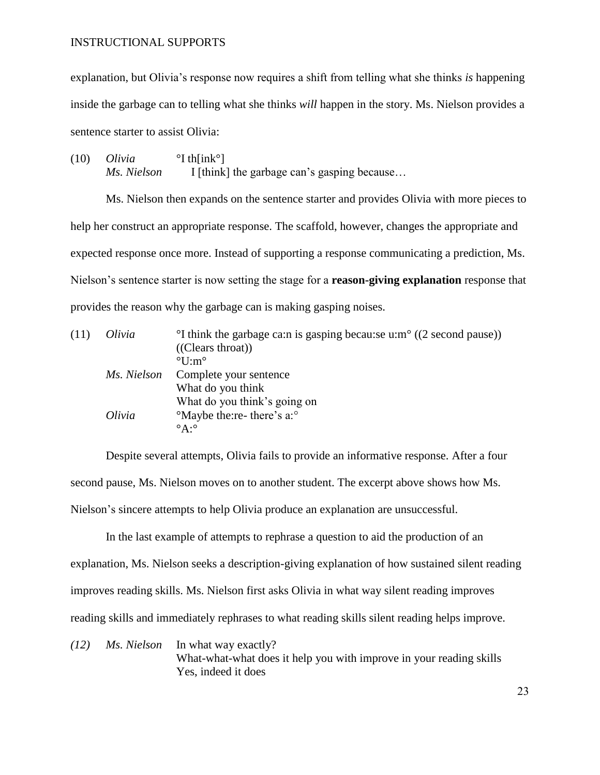explanation, but Olivia's response now requires a shift from telling what she thinks *is* happening inside the garbage can to telling what she thinks *will* happen in the story. Ms. Nielson provides a sentence starter to assist Olivia:

(10)  $Olivia$  <sup>o</sup>I th[ink<sup>o</sup>] *Ms. Nielson* I [think] the garbage can's gasping because…

Ms. Nielson then expands on the sentence starter and provides Olivia with more pieces to help her construct an appropriate response. The scaffold, however, changes the appropriate and expected response once more. Instead of supporting a response communicating a prediction, Ms. Nielson's sentence starter is now setting the stage for a **reason-giving explanation** response that provides the reason why the garbage can is making gasping noises.

| (11) | Olivia      | <sup>o</sup> I think the garbage ca:n is gasping becau:se u:m <sup>o</sup> ( $(2 \text{ second pause})$ ) |  |
|------|-------------|-----------------------------------------------------------------------------------------------------------|--|
|      |             | $((\text{Clearly } \text{throat}))$                                                                       |  |
|      |             | $\degree$ U:m $\degree$                                                                                   |  |
|      | Ms. Nielson | Complete your sentence                                                                                    |  |
|      |             | What do you think                                                                                         |  |
|      |             | What do you think's going on                                                                              |  |
|      | Olivia      | <sup>o</sup> Maybe the: re- there's a: <sup>o</sup>                                                       |  |
|      |             | $\mathrm{O}^{\circ}$ A: $\mathrm{O}$                                                                      |  |

Despite several attempts, Olivia fails to provide an informative response. After a four second pause, Ms. Nielson moves on to another student. The excerpt above shows how Ms. Nielson's sincere attempts to help Olivia produce an explanation are unsuccessful.

In the last example of attempts to rephrase a question to aid the production of an explanation, Ms. Nielson seeks a description-giving explanation of how sustained silent reading improves reading skills. Ms. Nielson first asks Olivia in what way silent reading improves reading skills and immediately rephrases to what reading skills silent reading helps improve.

*(12) Ms. Nielson* In what way exactly? What-what-what does it help you with improve in your reading skills Yes, indeed it does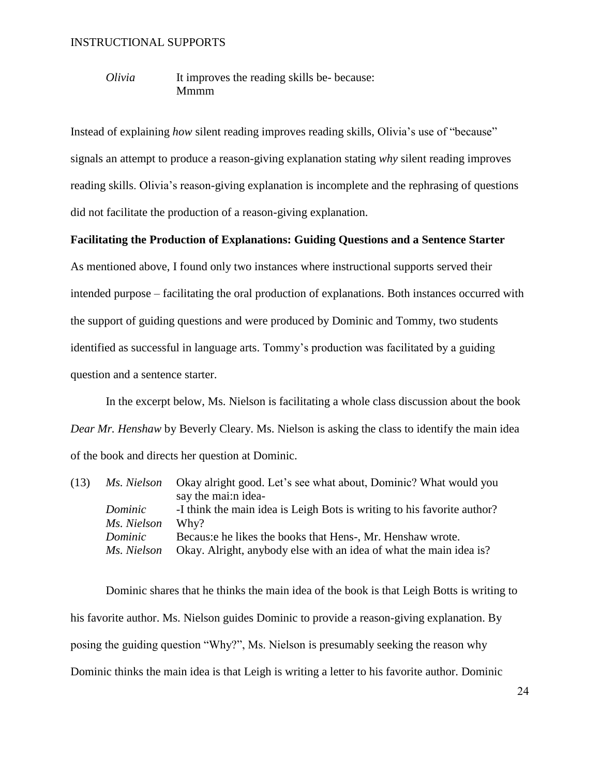# *Olivia* It improves the reading skills be- because: Mmmm

Instead of explaining *how* silent reading improves reading skills, Olivia's use of "because" signals an attempt to produce a reason-giving explanation stating *why* silent reading improves reading skills. Olivia's reason-giving explanation is incomplete and the rephrasing of questions did not facilitate the production of a reason-giving explanation.

# **Facilitating the Production of Explanations: Guiding Questions and a Sentence Starter**

As mentioned above, I found only two instances where instructional supports served their intended purpose – facilitating the oral production of explanations. Both instances occurred with the support of guiding questions and were produced by Dominic and Tommy, two students identified as successful in language arts. Tommy's production was facilitated by a guiding question and a sentence starter.

In the excerpt below, Ms. Nielson is facilitating a whole class discussion about the book *Dear Mr. Henshaw* by Beverly Cleary. Ms. Nielson is asking the class to identify the main idea of the book and directs her question at Dominic.

| (13) | Ms. Nielson Okay alright good. Let's see what about, Dominic? What would you |                                                                         |
|------|------------------------------------------------------------------------------|-------------------------------------------------------------------------|
|      |                                                                              | say the mai:n idea-                                                     |
|      | Dominic                                                                      | -I think the main idea is Leigh Bots is writing to his favorite author? |
|      | Ms. Nielson                                                                  | Why?                                                                    |
|      | <i>Dominic</i>                                                               | Becaus: e he likes the books that Hens-, Mr. Henshaw wrote.             |
|      | Ms. Nielson                                                                  | Okay. Alright, anybody else with an idea of what the main idea is?      |

Dominic shares that he thinks the main idea of the book is that Leigh Botts is writing to his favorite author. Ms. Nielson guides Dominic to provide a reason-giving explanation. By posing the guiding question "Why?", Ms. Nielson is presumably seeking the reason why Dominic thinks the main idea is that Leigh is writing a letter to his favorite author. Dominic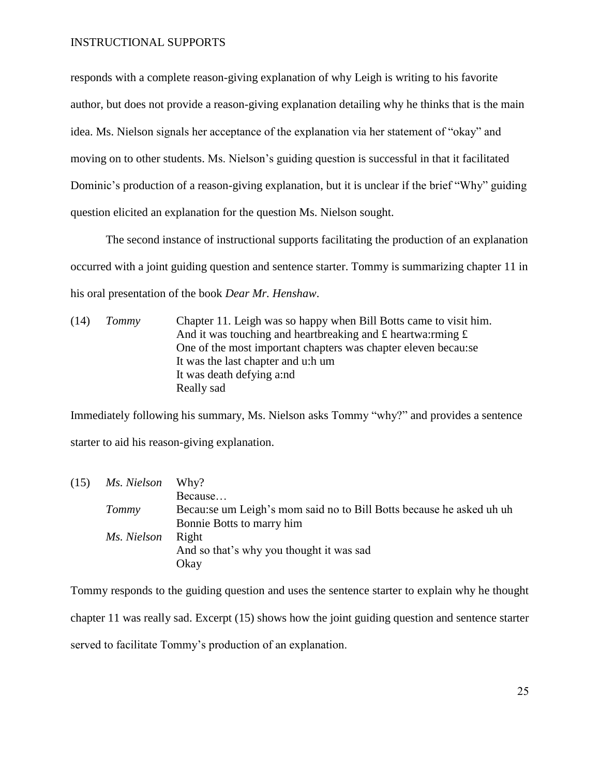responds with a complete reason-giving explanation of why Leigh is writing to his favorite author, but does not provide a reason-giving explanation detailing why he thinks that is the main idea. Ms. Nielson signals her acceptance of the explanation via her statement of "okay" and moving on to other students. Ms. Nielson's guiding question is successful in that it facilitated Dominic's production of a reason-giving explanation, but it is unclear if the brief "Why" guiding question elicited an explanation for the question Ms. Nielson sought.

The second instance of instructional supports facilitating the production of an explanation occurred with a joint guiding question and sentence starter. Tommy is summarizing chapter 11 in his oral presentation of the book *Dear Mr. Henshaw*.

(14) *Tommy* Chapter 11. Leigh was so happy when Bill Botts came to visit him. And it was touching and heartbreaking and  $\pounds$  heartwa: rming  $\pounds$ One of the most important chapters was chapter eleven becau:se It was the last chapter and u:h um It was death defying a:nd Really sad

Immediately following his summary, Ms. Nielson asks Tommy "why?" and provides a sentence starter to aid his reason-giving explanation.

| (15) | Ms. Nielson | Why?                                                                  |  |
|------|-------------|-----------------------------------------------------------------------|--|
|      |             | Because                                                               |  |
|      | Tommy       | Becau: se um Leigh's mom said no to Bill Botts because he asked uh uh |  |
|      |             | Bonnie Botts to marry him                                             |  |
|      | Ms. Nielson | Right                                                                 |  |
|      |             | And so that's why you thought it was sad                              |  |
|      |             | Okay                                                                  |  |
|      |             |                                                                       |  |

Tommy responds to the guiding question and uses the sentence starter to explain why he thought chapter 11 was really sad. Excerpt (15) shows how the joint guiding question and sentence starter served to facilitate Tommy's production of an explanation.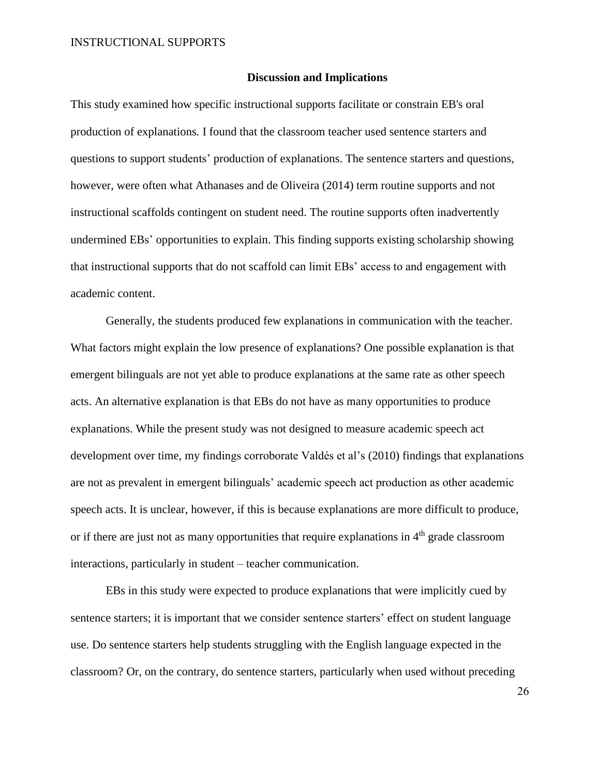#### **Discussion and Implications**

This study examined how specific instructional supports facilitate or constrain EB's oral production of explanations*.* I found that the classroom teacher used sentence starters and questions to support students' production of explanations. The sentence starters and questions, however, were often what Athanases and de Oliveira (2014) term routine supports and not instructional scaffolds contingent on student need. The routine supports often inadvertently undermined EBs' opportunities to explain. This finding supports existing scholarship showing that instructional supports that do not scaffold can limit EBs' access to and engagement with academic content.

Generally, the students produced few explanations in communication with the teacher. What factors might explain the low presence of explanations? One possible explanation is that emergent bilinguals are not yet able to produce explanations at the same rate as other speech acts. An alternative explanation is that EBs do not have as many opportunities to produce explanations. While the present study was not designed to measure academic speech act development over time, my findings corroborate Valdés et al's (2010) findings that explanations are not as prevalent in emergent bilinguals' academic speech act production as other academic speech acts. It is unclear, however, if this is because explanations are more difficult to produce, or if there are just not as many opportunities that require explanations in  $4<sup>th</sup>$  grade classroom interactions, particularly in student – teacher communication.

EBs in this study were expected to produce explanations that were implicitly cued by sentence starters; it is important that we consider sentence starters' effect on student language use. Do sentence starters help students struggling with the English language expected in the classroom? Or, on the contrary, do sentence starters, particularly when used without preceding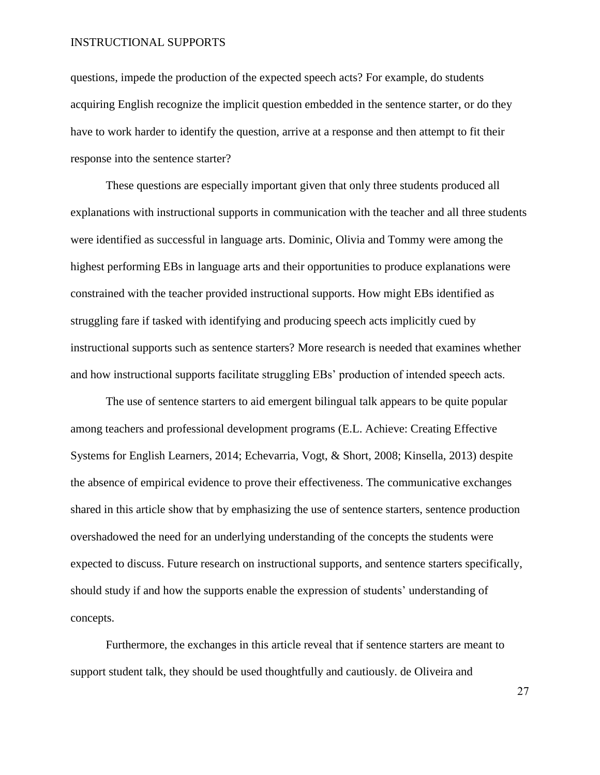questions, impede the production of the expected speech acts? For example, do students acquiring English recognize the implicit question embedded in the sentence starter, or do they have to work harder to identify the question, arrive at a response and then attempt to fit their response into the sentence starter?

These questions are especially important given that only three students produced all explanations with instructional supports in communication with the teacher and all three students were identified as successful in language arts. Dominic, Olivia and Tommy were among the highest performing EBs in language arts and their opportunities to produce explanations were constrained with the teacher provided instructional supports. How might EBs identified as struggling fare if tasked with identifying and producing speech acts implicitly cued by instructional supports such as sentence starters? More research is needed that examines whether and how instructional supports facilitate struggling EBs' production of intended speech acts.

The use of sentence starters to aid emergent bilingual talk appears to be quite popular among teachers and professional development programs (E.L. Achieve: Creating Effective Systems for English Learners, 2014; Echevarria, Vogt, & Short, 2008; Kinsella, 2013) despite the absence of empirical evidence to prove their effectiveness. The communicative exchanges shared in this article show that by emphasizing the use of sentence starters, sentence production overshadowed the need for an underlying understanding of the concepts the students were expected to discuss. Future research on instructional supports, and sentence starters specifically, should study if and how the supports enable the expression of students' understanding of concepts.

Furthermore, the exchanges in this article reveal that if sentence starters are meant to support student talk, they should be used thoughtfully and cautiously. de Oliveira and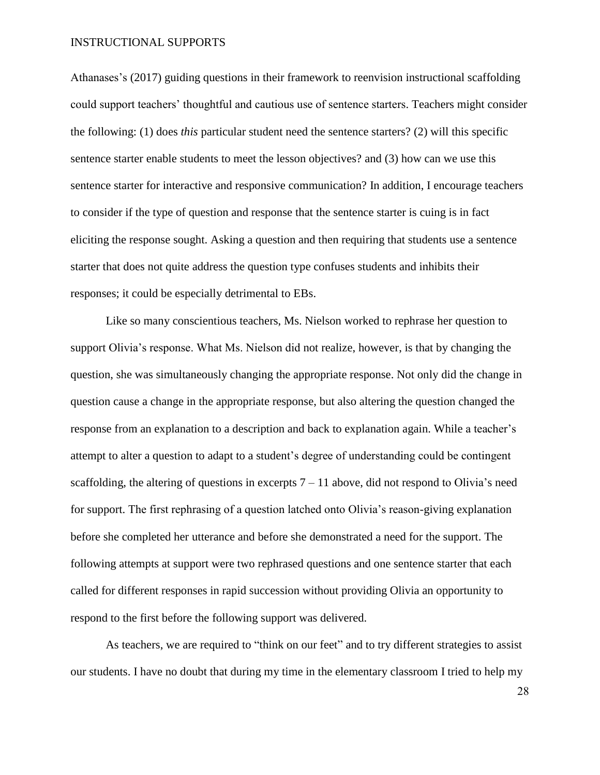Athanases's (2017) guiding questions in their framework to reenvision instructional scaffolding could support teachers' thoughtful and cautious use of sentence starters. Teachers might consider the following: (1) does *this* particular student need the sentence starters? (2) will this specific sentence starter enable students to meet the lesson objectives? and (3) how can we use this sentence starter for interactive and responsive communication? In addition, I encourage teachers to consider if the type of question and response that the sentence starter is cuing is in fact eliciting the response sought. Asking a question and then requiring that students use a sentence starter that does not quite address the question type confuses students and inhibits their responses; it could be especially detrimental to EBs.

Like so many conscientious teachers, Ms. Nielson worked to rephrase her question to support Olivia's response. What Ms. Nielson did not realize, however, is that by changing the question, she was simultaneously changing the appropriate response. Not only did the change in question cause a change in the appropriate response, but also altering the question changed the response from an explanation to a description and back to explanation again. While a teacher's attempt to alter a question to adapt to a student's degree of understanding could be contingent scaffolding, the altering of questions in excerpts  $7 - 11$  above, did not respond to Olivia's need for support. The first rephrasing of a question latched onto Olivia's reason-giving explanation before she completed her utterance and before she demonstrated a need for the support. The following attempts at support were two rephrased questions and one sentence starter that each called for different responses in rapid succession without providing Olivia an opportunity to respond to the first before the following support was delivered.

As teachers, we are required to "think on our feet" and to try different strategies to assist our students. I have no doubt that during my time in the elementary classroom I tried to help my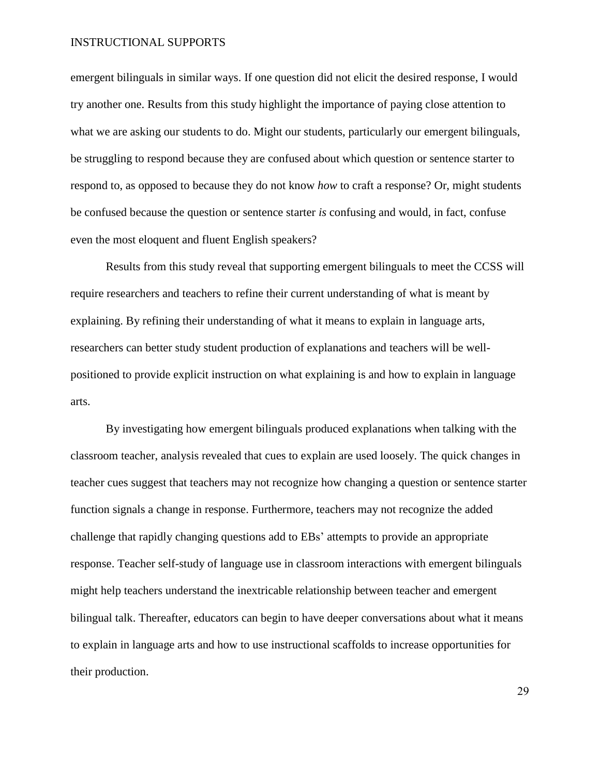emergent bilinguals in similar ways. If one question did not elicit the desired response, I would try another one. Results from this study highlight the importance of paying close attention to what we are asking our students to do. Might our students, particularly our emergent bilinguals, be struggling to respond because they are confused about which question or sentence starter to respond to, as opposed to because they do not know *how* to craft a response? Or, might students be confused because the question or sentence starter *is* confusing and would, in fact, confuse even the most eloquent and fluent English speakers?

Results from this study reveal that supporting emergent bilinguals to meet the CCSS will require researchers and teachers to refine their current understanding of what is meant by explaining. By refining their understanding of what it means to explain in language arts, researchers can better study student production of explanations and teachers will be wellpositioned to provide explicit instruction on what explaining is and how to explain in language arts.

By investigating how emergent bilinguals produced explanations when talking with the classroom teacher, analysis revealed that cues to explain are used loosely. The quick changes in teacher cues suggest that teachers may not recognize how changing a question or sentence starter function signals a change in response. Furthermore, teachers may not recognize the added challenge that rapidly changing questions add to EBs' attempts to provide an appropriate response. Teacher self-study of language use in classroom interactions with emergent bilinguals might help teachers understand the inextricable relationship between teacher and emergent bilingual talk. Thereafter, educators can begin to have deeper conversations about what it means to explain in language arts and how to use instructional scaffolds to increase opportunities for their production.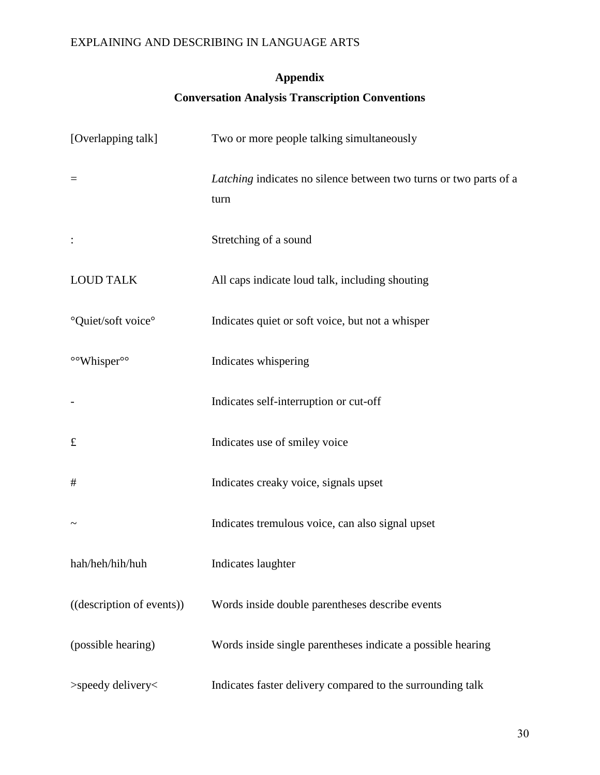# **Appendix**

# **Conversation Analysis Transcription Conventions**

| [Overlapping talk]        | Two or more people talking simultaneously                                 |  |
|---------------------------|---------------------------------------------------------------------------|--|
| $=$                       | Latching indicates no silence between two turns or two parts of a<br>turn |  |
|                           | Stretching of a sound                                                     |  |
| <b>LOUD TALK</b>          | All caps indicate loud talk, including shouting                           |  |
| °Quiet/soft voice°        | Indicates quiet or soft voice, but not a whisper                          |  |
| °°Whisper®                | Indicates whispering                                                      |  |
|                           | Indicates self-interruption or cut-off                                    |  |
| $\mathbf f$               | Indicates use of smiley voice                                             |  |
| $\#$                      | Indicates creaky voice, signals upset                                     |  |
|                           | Indicates tremulous voice, can also signal upset                          |  |
| hah/heh/hih/huh           | Indicates laughter                                                        |  |
| ((description of events)) | Words inside double parentheses describe events                           |  |
| (possible hearing)        | Words inside single parentheses indicate a possible hearing               |  |
| >speedy delivery<         | Indicates faster delivery compared to the surrounding talk                |  |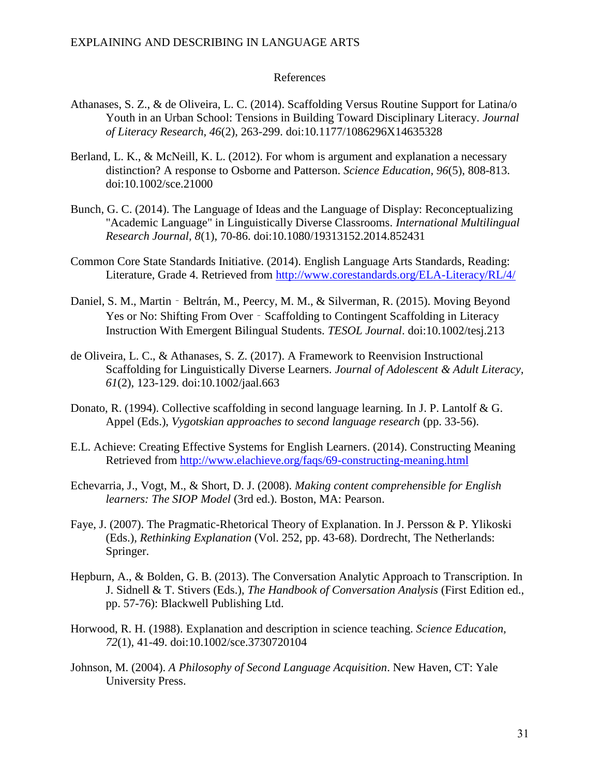#### References

- Athanases, S. Z., & de Oliveira, L. C. (2014). Scaffolding Versus Routine Support for Latina/o Youth in an Urban School: Tensions in Building Toward Disciplinary Literacy. *Journal of Literacy Research, 46*(2), 263-299. doi:10.1177/1086296X14635328
- Berland, L. K., & McNeill, K. L. (2012). For whom is argument and explanation a necessary distinction? A response to Osborne and Patterson. *Science Education, 96*(5), 808-813. doi:10.1002/sce.21000
- Bunch, G. C. (2014). The Language of Ideas and the Language of Display: Reconceptualizing "Academic Language" in Linguistically Diverse Classrooms. *International Multilingual Research Journal, 8*(1), 70-86. doi:10.1080/19313152.2014.852431
- Common Core State Standards Initiative. (2014). English Language Arts Standards, Reading: Literature, Grade 4. Retrieved from<http://www.corestandards.org/ELA-Literacy/RL/4/>
- Daniel, S. M., Martin Beltrán, M., Peercy, M. M., & Silverman, R. (2015). Moving Beyond Yes or No: Shifting From Over - Scaffolding to Contingent Scaffolding in Literacy Instruction With Emergent Bilingual Students. *TESOL Journal*. doi:10.1002/tesj.213
- de Oliveira, L. C., & Athanases, S. Z. (2017). A Framework to Reenvision Instructional Scaffolding for Linguistically Diverse Learners. *Journal of Adolescent & Adult Literacy, 61*(2), 123-129. doi:10.1002/jaal.663
- Donato, R. (1994). Collective scaffolding in second language learning. In J. P. Lantolf & G. Appel (Eds.), *Vygotskian approaches to second language research* (pp. 33-56).
- E.L. Achieve: Creating Effective Systems for English Learners. (2014). Constructing Meaning Retrieved from<http://www.elachieve.org/faqs/69-constructing-meaning.html>
- Echevarria, J., Vogt, M., & Short, D. J. (2008). *Making content comprehensible for English learners: The SIOP Model* (3rd ed.). Boston, MA: Pearson.
- Faye, J. (2007). The Pragmatic-Rhetorical Theory of Explanation. In J. Persson & P. Ylikoski (Eds.), *Rethinking Explanation* (Vol. 252, pp. 43-68). Dordrecht, The Netherlands: Springer.
- Hepburn, A., & Bolden, G. B. (2013). The Conversation Analytic Approach to Transcription. In J. Sidnell & T. Stivers (Eds.), *The Handbook of Conversation Analysis* (First Edition ed., pp. 57-76): Blackwell Publishing Ltd.
- Horwood, R. H. (1988). Explanation and description in science teaching. *Science Education, 72*(1), 41-49. doi:10.1002/sce.3730720104
- Johnson, M. (2004). *A Philosophy of Second Language Acquisition*. New Haven, CT: Yale University Press.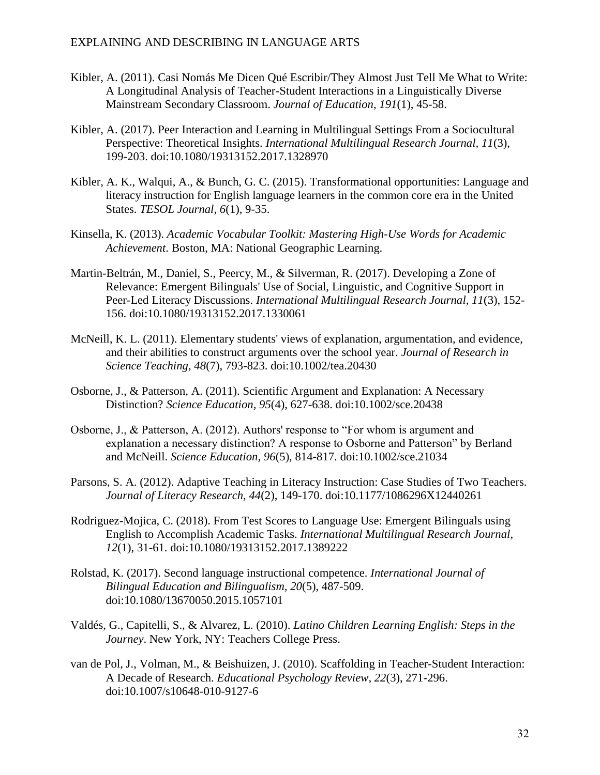- Kibler, A. (2011). Casi Nomás Me Dicen Qué Escribir/They Almost Just Tell Me What to Write: A Longitudinal Analysis of Teacher-Student Interactions in a Linguistically Diverse Mainstream Secondary Classroom. *Journal of Education, 191*(1), 45-58.
- Kibler, A. (2017). Peer Interaction and Learning in Multilingual Settings From a Sociocultural Perspective: Theoretical Insights. *International Multilingual Research Journal, 11*(3), 199-203. doi:10.1080/19313152.2017.1328970
- Kibler, A. K., Walqui, A., & Bunch, G. C. (2015). Transformational opportunities: Language and literacy instruction for English language learners in the common core era in the United States. *TESOL Journal, 6*(1), 9-35.
- Kinsella, K. (2013). *Academic Vocabular Toolkit: Mastering High-Use Words for Academic Achievement*. Boston, MA: National Geographic Learning.
- Martin-Beltrán, M., Daniel, S., Peercy, M., & Silverman, R. (2017). Developing a Zone of Relevance: Emergent Bilinguals' Use of Social, Linguistic, and Cognitive Support in Peer-Led Literacy Discussions. *International Multilingual Research Journal, 11*(3), 152- 156. doi:10.1080/19313152.2017.1330061
- McNeill, K. L. (2011). Elementary students' views of explanation, argumentation, and evidence, and their abilities to construct arguments over the school year. *Journal of Research in Science Teaching, 48*(7), 793-823. doi:10.1002/tea.20430
- Osborne, J., & Patterson, A. (2011). Scientific Argument and Explanation: A Necessary Distinction? *Science Education, 95*(4), 627-638. doi:10.1002/sce.20438
- Osborne, J., & Patterson, A. (2012). Authors' response to "For whom is argument and explanation a necessary distinction? A response to Osborne and Patterson" by Berland and McNeill. *Science Education, 96*(5), 814-817. doi:10.1002/sce.21034
- Parsons, S. A. (2012). Adaptive Teaching in Literacy Instruction: Case Studies of Two Teachers. *Journal of Literacy Research, 44*(2), 149-170. doi:10.1177/1086296X12440261
- Rodriguez-Mojica, C. (2018). From Test Scores to Language Use: Emergent Bilinguals using English to Accomplish Academic Tasks. *International Multilingual Research Journal, 12*(1), 31-61. doi:10.1080/19313152.2017.1389222
- Rolstad, K. (2017). Second language instructional competence. *International Journal of Bilingual Education and Bilingualism, 20*(5), 487-509. doi:10.1080/13670050.2015.1057101
- Valdés, G., Capitelli, S., & Alvarez, L. (2010). *Latino Children Learning English: Steps in the Journey*. New York, NY: Teachers College Press.
- van de Pol, J., Volman, M., & Beishuizen, J. (2010). Scaffolding in Teacher-Student Interaction: A Decade of Research. *Educational Psychology Review, 22*(3), 271-296. doi:10.1007/s10648-010-9127-6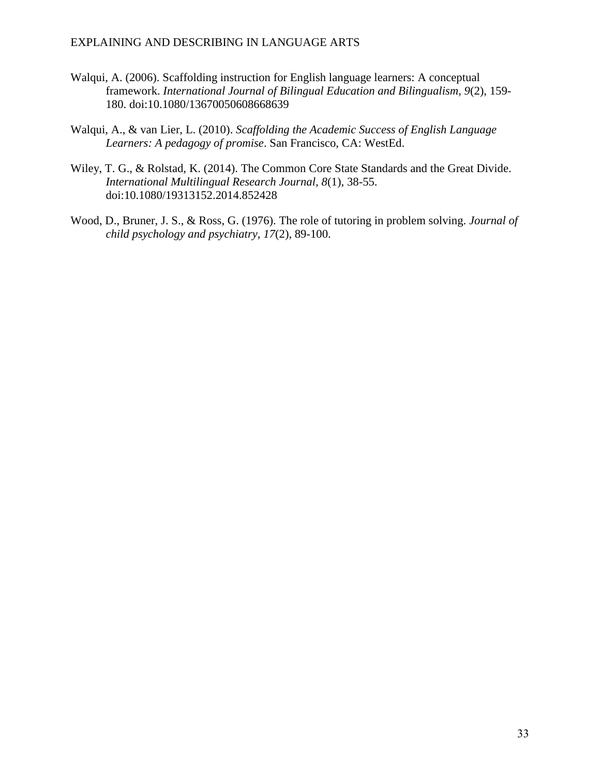- Walqui, A. (2006). Scaffolding instruction for English language learners: A conceptual framework. *International Journal of Bilingual Education and Bilingualism, 9*(2), 159- 180. doi:10.1080/13670050608668639
- Walqui, A., & van Lier, L. (2010). *Scaffolding the Academic Success of English Language Learners: A pedagogy of promise*. San Francisco, CA: WestEd.
- Wiley, T. G., & Rolstad, K. (2014). The Common Core State Standards and the Great Divide. *International Multilingual Research Journal, 8*(1), 38-55. doi:10.1080/19313152.2014.852428
- Wood, D., Bruner, J. S., & Ross, G. (1976). The role of tutoring in problem solving. *Journal of child psychology and psychiatry, 17*(2), 89-100.